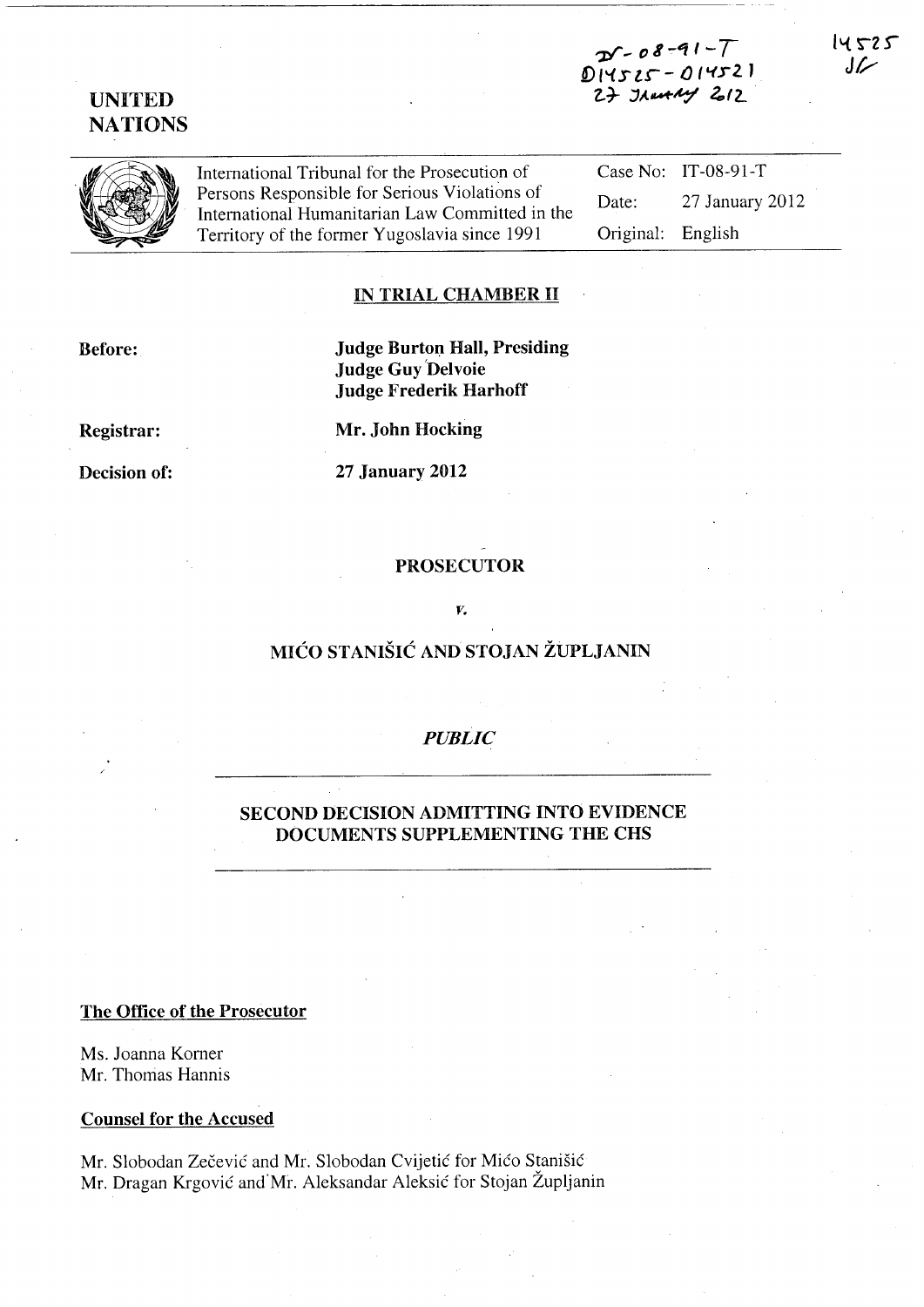$25 - 08 - 91 - 7$ §) *l"l* s *t..r-* - () ("fr 2. J 27 JAun14 2012

UNITED NATIONS

> International Tribunal for the Prosecution of Persons Responsible for Serious Violations of International Humanitarian Law Committed in the Territory of the former Yugoslavia since 1991 Case No: IT-08-91-T Date: 27 January 2012 Original: English

#### IN TRIAL CHAMBER II

Before:

Judge Burton Hall, Presiding Judge Guy'Delvoie Judge Frederik Harhoff

Registrar:

Decision of:

Mr. John Hocking

27 January 2012

# PROSECUTOR

#### *v.*

# MICO STANISIC AND STOJAN ZUPLJANIN

### *PUBLIC*

### SECOND DECISION ADMITTING INTO EVIDENCE DOCUMENTS SUPPLEMENTING THE CHS

#### The Office of the Prosecutor

Ms. Joanna Korner Mr. Thomas Hannis

### Counsel for the Accused

Mr. Slobodan Zecevic and Mr. Slobodan Cvijetic for Mico Stanisic Mr. Dragan Krgovic and"Mr. Aleksandar Aleksic for Stojan Zupljanin

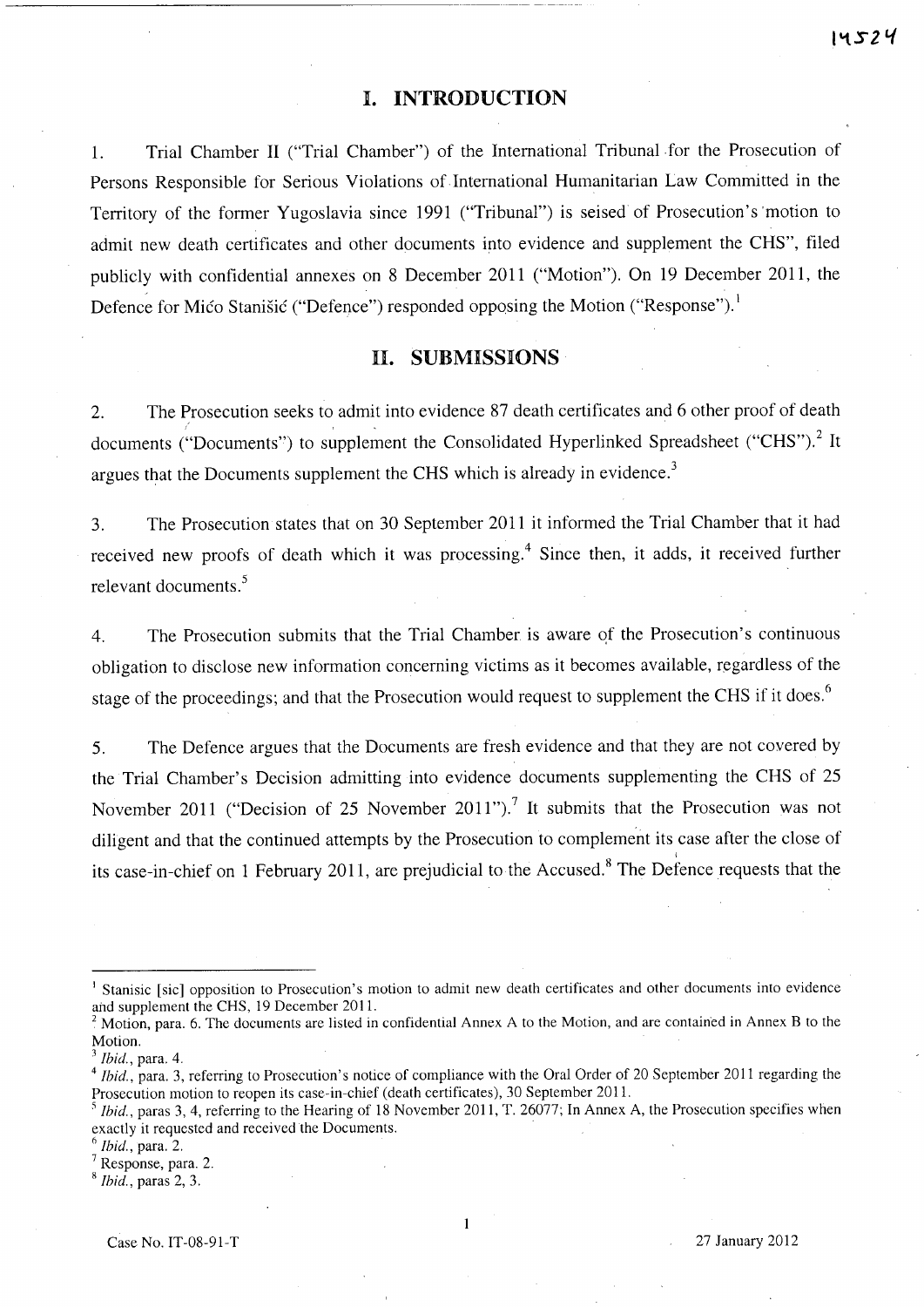# **I. INTRODUCTION**

1. Trial Chamber II ("Trial Chamber") of the International Tribunal for the Prosecution of Persons Responsible for Serious Violations of International Humanitarian Law Committed in the Territory of the former Yugoslavia since 1991 ("Tribunal") is seised of Prosecution's 'motion to admit new death certificates and other documents into evidence and supplement the CHS", filed publicly with confidential annexes on 8 December 2011 ("Motion"). On 19 December 2011, the Defence for Mico Stanišic ("Defence") responded opposing the Motion ("Response").<sup>1</sup>

### **1I. SUBMISSIONS**

2. The Prosecution seeks to admit into evidence 87 death certificates and 6 other proof of death documents ("Documents") to supplement the Consolidated Hyperlinked Spreadsheet ("CHS").<sup>2</sup> It argues that the Documents supplement the CHS which is already in evidence.<sup>3</sup>

3. The Prosecution states that on 30 September 2011 it informed the Trial Chamber that it had received new proofs of death which it was processing.<sup>4</sup> Since then, it adds, it received further relevant documents. <sup>5</sup>

4. The Prosecution submits that the Trial Chamber is aware qf the Prosecution's continuous obligation to disclose new information concerning victims as it becomes available, regardless of the stage of the proceedings; and that the Prosecution would request to supplement the CHS if it does.<sup>6</sup>

5. The Defence argues that the Documents are fresh evidence and that they are not covered by the Trial Chamber's Decision admitting into evidence documents supplementing the CHS of 25 November 2011 ("Decision of 25 November 2011").<sup>7</sup> It submits that the Prosecution was not diligent and that the continued attempts by the Prosecution to complement its case after the close of its case-in-chief on 1 February 2011, are prejudicial to the Accused.<sup>8</sup> The Defence requests that the

<sup>&</sup>lt;sup>1</sup> Stanisic [sic] opposition to Prosecution's motion to admit new death certificates and other documents into evidence and supplement the CHS, 19 December 2011.

 $2^2$  Motion, para. 6. The documents are listed in confidential Annex A to the Motion, and are contained in Annex B to the Motion.

*<sup>3</sup> Ibid.,* para. 4.

<sup>&</sup>lt;sup>4</sup> Ibid., para, 3, referring to Prosecution's notice of compliance with the Oral Order of 20 September 2011 regarding the Prosecution motion to reopen its case-in-chief (death certificates), 30 September 2011.

*Ibid.*, paras 3, 4, referring to the Hearing of 18 November 2011, T. 26077; In Annex A, the Prosecution specifies when exactly it requested and received the Documents.

<sup>6</sup>*Ibid.,* para. 2.

<sup>7</sup> Response, para. 2.

<sup>8</sup>*Ibid.,* paras 2, 3.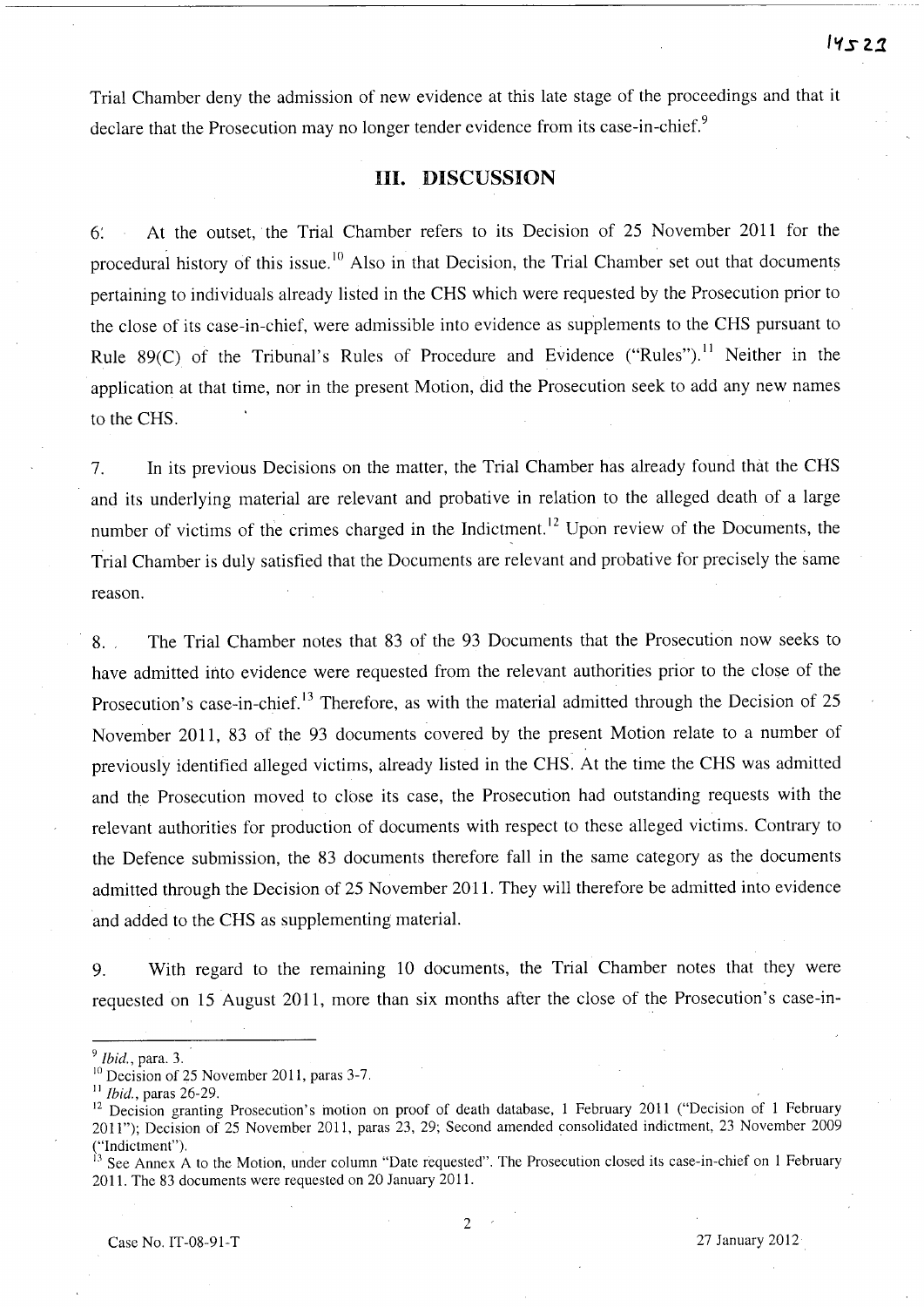Trial Chamber deny the admission of new evidence at this late stage of the proceedings and that it declare that the Prosecution may no longer tender evidence from its case-in-chief.<sup>9</sup>

# **Ill.** DISCUSSION

6: At the outset, the Trial Chamber refers to its Decision of 25 November 2011 for the procedural history of this issue.<sup>10</sup> Also in that Decision, the Trial Chamber set out that documents pertaining to individuals already listed in the CHS which were requested by the Prosecution prior to the close of its case-in-chief, were admissible into evidence as supplements to the CHS pursuant to Rule 89 $(C)$  of the Tribunal's Rules of Procedure and Evidence ("Rules").<sup>11</sup> Neither in the application at that time, nor in the present Motion, did the Prosecution seek to add any new names to the CHS.

7. In its previous Decisions on the matter, the Trial Chamber has already found that the CHS and its underlying material are relevant and probative in relation to the alleged death of a large number of victims of the crimes charged in the Indictment.<sup>12</sup> Upon review of the Documents, the Trial Chamber is duly satisfied that the Documents are relevant and probative for precisely the same reason.

8. The Trial Chamber notes that 83 of the 93 Documents that the Prosecution now seeks to have admitted into evidence were requested from the relevant authorities prior to the close of the Prosecution's case-in-chief.<sup>13</sup> Therefore, as with the material admitted through the Decision of 25 November 2011, 83 of the 93 documents covered by the present Motion relate to a number of previously identified alleged victims, already listed in the CHS. At the time the CHS was admitted and the Prosecution moved to close its case, the Prosecution had outstanding requests with the relevant authorities for production of documents with respect to these alleged victims. Contrary to the Defence submission, the 83 documents therefore fall in the same category as the documents admitted through the Decision of 25 November 2011. They will therefore be admitted into evidence and added to the CHS as supplementing material.

9. With regard to the remaining 10 documents, the Trial Chamber notes that they were requested on 15 August 2011, more than six months after the close of the Prosecution's case-in-

<sup>&</sup>lt;sup>9</sup> *Ibid.*, para. 3.

<sup>&</sup>lt;sup>10</sup> Decision of 25 November 2011, paras 3-7.

*Ibid.*, paras 26-29.

Decision granting Prosecution's motion on proof of death database, 1 February 2011 ("Decision of 1 February 2011"); Decision of 25 November 2011, paras 23, 29; Second amended consolidated indictment, 23 November 2009 ("Indictment").

See Annex A to the Motion, under column "Date requested". The Prosecution closed its case-in-chief on 1 February 2011. The 83 documents were requested on 20 January 2011.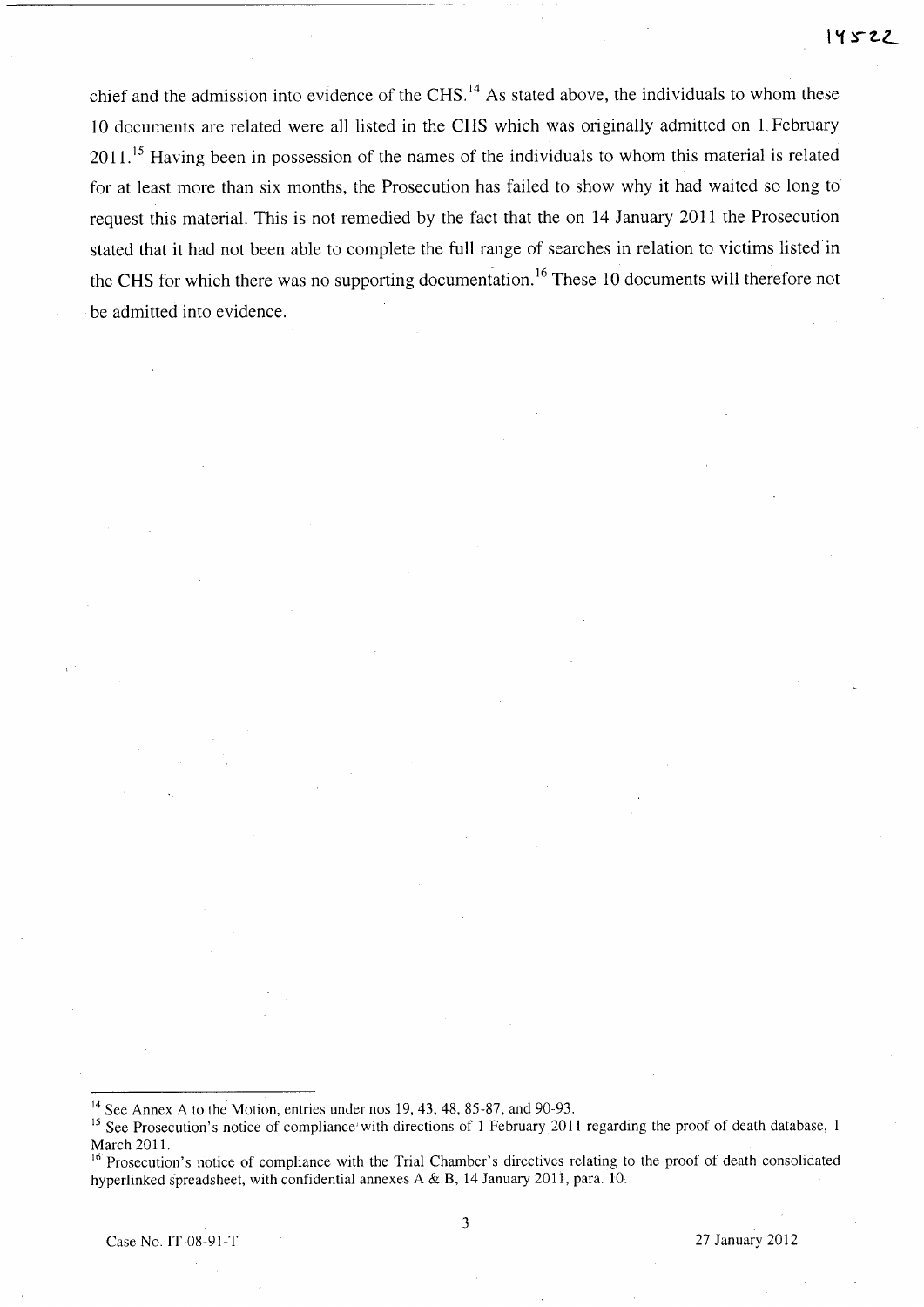chief and the admission into evidence of the CHS.<sup>14</sup> As stated above, the individuals to whom these 10 documents are related were all listed in the CHS which was originally admitted on L February  $2011$ .<sup>15</sup> Having been in possession of the names of the individuals to whom this material is related for at least more than six months, the Prosecution has failed to show why it had waited so long to' request this material. This is not remedied by the fact that the on 14 January 2011 the Prosecution stated that it had not been able to complete the full range of searches in relation to victims listed in the CHS for which there was no supporting documentation. 16 These 10 documents will therefore not be admitted into evidence.

<sup>&</sup>lt;sup>14</sup> See Annex A to the Motion, entries under nos 19, 43, 48, 85-87, and 90-93.

<sup>&</sup>lt;sup>15</sup> See Prosecution's notice of compliance' with directions of 1 February 2011 regarding the proof of death database, 1 March 2011.

<sup>&</sup>lt;sup>16</sup> Prosecution's notice of compliance with the Trial Chamber's directives relating to the proof of death consolidated hyperlinked spreadsheet, with confidential annexes A & B, 14 January 2011, para. 10.